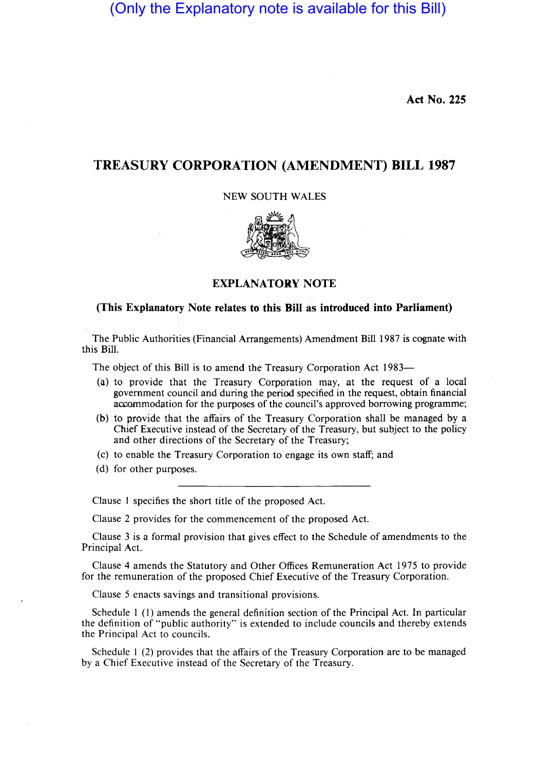(Only the Explanatory note is available for this Bill)

**Act No. 225** 

## **TREASURY CORPORATION (AMENDMENT) BILL 1987**

## NEW SOUTH WALES



## **EXPLANATORY NOTE**

## **(This Explanatory Note relates to this Bill as introduced into Parliament)**

The Public Authorities (Financial Arrangements) Amendment Bill 1987 is cognate with this Bill.

The object of this Bill is to amend the Treasury Corporation Act 1983-

- (a) to provide that the Treasury Corporation may, at the request of a local government council and during the period specified in the request, obtain financial accommodation for the purposes of the council's approved borrowing programme;
- (b) to provide that the affairs of the Treasury Corporation shall be managed by a Chief Executive instead of the Secretary of the Treasury, but subject to the policy and other directions of the Secretary of the Treasury;

Cc) to enable the Treasury Corporation to engage its own staff; and

(d) for other purposes.

Clause I specifies the short title of the proposed Act.

Clause 2 provides for the commencement of the proposed Act.

Clause 3 is a formal provision that gives effect to the Schedule of amendments to the Principal Act.

Clause 4 amends the Statutory and Other Offices Remuneration Act 1975 to provide for the remuneration of the proposed Chief Executive of the Treasury Corporation.

Clause 5 enacts savings and transitional provisions.

Schedule I (I) amends the general definition section of the Principal Act. In particular the definition of "public authority" is extended to include councils and thereby extends the Principal Act to councils.

Schedule I (2) provides that the affairs of the Treasury Corporation are to be managed by a Chief Executive instead of the Secretary of the Treasury.